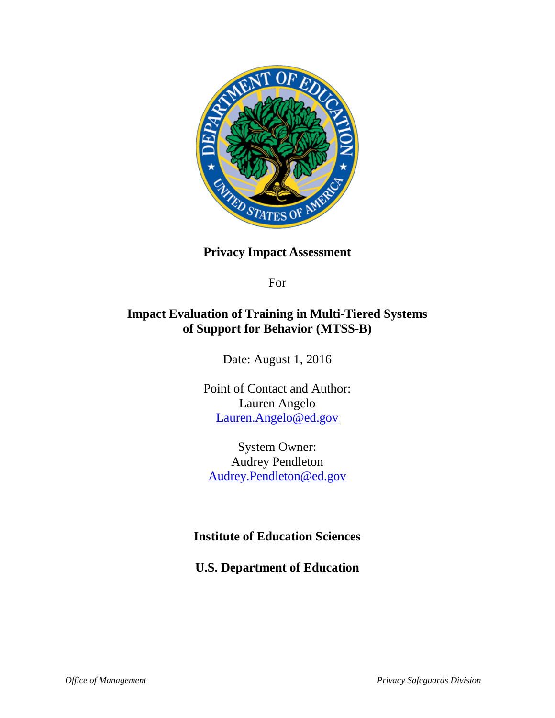

**Privacy Impact Assessment**

For

## **Impact Evaluation of Training in Multi-Tiered Systems of Support for Behavior (MTSS-B)**

Date: August 1, 2016

Point of Contact and Author: Lauren Angelo [Lauren.Angelo@ed.gov](mailto:Lauren.Angelo@ed.gov)

System Owner: Audrey Pendleton [Audrey.Pendleton@ed.gov](mailto:Audrey.Pendleton@ed.gov)

## **Institute of Education Sciences**

**U.S. Department of Education**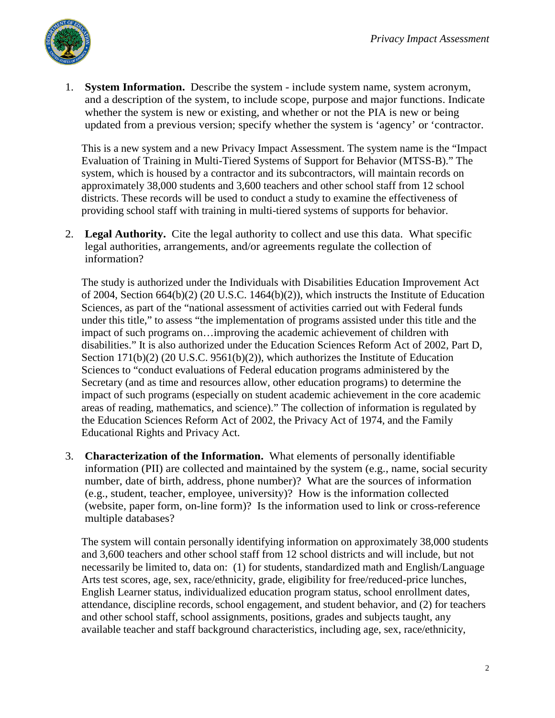

1. **System Information.** Describe the system - include system name, system acronym, and a description of the system, to include scope, purpose and major functions. Indicate whether the system is new or existing, and whether or not the PIA is new or being updated from a previous version; specify whether the system is 'agency' or 'contractor.

This is a new system and a new Privacy Impact Assessment. The system name is the "Impact Evaluation of Training in Multi-Tiered Systems of Support for Behavior (MTSS-B)." The system, which is housed by a contractor and its subcontractors, will maintain records on approximately 38,000 students and 3,600 teachers and other school staff from 12 school districts. These records will be used to conduct a study to examine the effectiveness of providing school staff with training in multi-tiered systems of supports for behavior.

2. **Legal Authority.** Cite the legal authority to collect and use this data. What specific legal authorities, arrangements, and/or agreements regulate the collection of information?

 The study is authorized under the Individuals with Disabilities Education Improvement Act of 2004, Section 664(b)(2) (20 U.S.C. 1464(b)(2)), which instructs the Institute of Education Sciences, as part of the "national assessment of activities carried out with Federal funds under this title," to assess "the implementation of programs assisted under this title and the impact of such programs on…improving the academic achievement of children with disabilities." It is also authorized under the Education Sciences Reform Act of 2002, Part D, Section 171(b)(2) (20 U.S.C. 9561(b)(2)), which authorizes the Institute of Education Sciences to "conduct evaluations of Federal education programs administered by the Secretary (and as time and resources allow, other education programs) to determine the impact of such programs (especially on student academic achievement in the core academic areas of reading, mathematics, and science)." The collection of information is regulated by the Education Sciences Reform Act of 2002, the Privacy Act of 1974, and the Family Educational Rights and Privacy Act.

3. **Characterization of the Information.** What elements of personally identifiable information (PII) are collected and maintained by the system (e.g., name, social security number, date of birth, address, phone number)? What are the sources of information (e.g., student, teacher, employee, university)? How is the information collected (website, paper form, on-line form)? Is the information used to link or cross-reference multiple databases?

 The system will contain personally identifying information on approximately 38,000 students and 3,600 teachers and other school staff from 12 school districts and will include, but not necessarily be limited to, data on: (1) for students, standardized math and English/Language Arts test scores, age, sex, race/ethnicity, grade, eligibility for free/reduced-price lunches, English Learner status, individualized education program status, school enrollment dates, attendance, discipline records, school engagement, and student behavior, and (2) for teachers and other school staff, school assignments, positions, grades and subjects taught, any available teacher and staff background characteristics, including age, sex, race/ethnicity,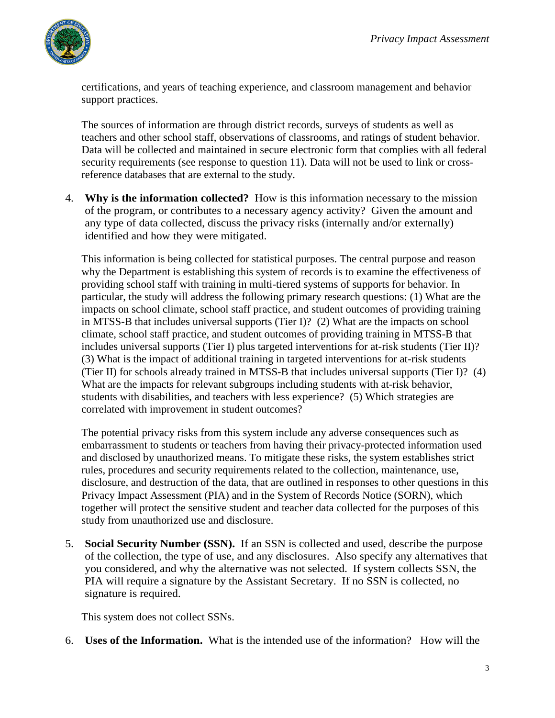

certifications, and years of teaching experience, and classroom management and behavior support practices.

 The sources of information are through district records, surveys of students as well as teachers and other school staff, observations of classrooms, and ratings of student behavior. Data will be collected and maintained in secure electronic form that complies with all federal security requirements (see response to question 11). Data will not be used to link or crossreference databases that are external to the study.

4. **Why is the information collected?** How is this information necessary to the mission of the program, or contributes to a necessary agency activity? Given the amount and any type of data collected, discuss the privacy risks (internally and/or externally) identified and how they were mitigated.

 This information is being collected for statistical purposes. The central purpose and reason why the Department is establishing this system of records is to examine the effectiveness of providing school staff with training in multi-tiered systems of supports for behavior. In particular, the study will address the following primary research questions: (1) What are the impacts on school climate, school staff practice, and student outcomes of providing training in MTSS-B that includes universal supports (Tier I)? (2) What are the impacts on school climate, school staff practice, and student outcomes of providing training in MTSS-B that includes universal supports (Tier I) plus targeted interventions for at-risk students (Tier II)? (3) What is the impact of additional training in targeted interventions for at-risk students (Tier II) for schools already trained in MTSS-B that includes universal supports (Tier I)? (4) What are the impacts for relevant subgroups including students with at-risk behavior, students with disabilities, and teachers with less experience? (5) Which strategies are correlated with improvement in student outcomes?

 The potential privacy risks from this system include any adverse consequences such as embarrassment to students or teachers from having their privacy-protected information used and disclosed by unauthorized means. To mitigate these risks, the system establishes strict rules, procedures and security requirements related to the collection, maintenance, use, disclosure, and destruction of the data, that are outlined in responses to other questions in this Privacy Impact Assessment (PIA) and in the System of Records Notice (SORN), which together will protect the sensitive student and teacher data collected for the purposes of this study from unauthorized use and disclosure.

5. **Social Security Number (SSN).** If an SSN is collected and used, describe the purpose of the collection, the type of use, and any disclosures. Also specify any alternatives that you considered, and why the alternative was not selected. If system collects SSN, the PIA will require a signature by the Assistant Secretary. If no SSN is collected, no signature is required.

This system does not collect SSNs.

6. **Uses of the Information.** What is the intended use of the information? How will the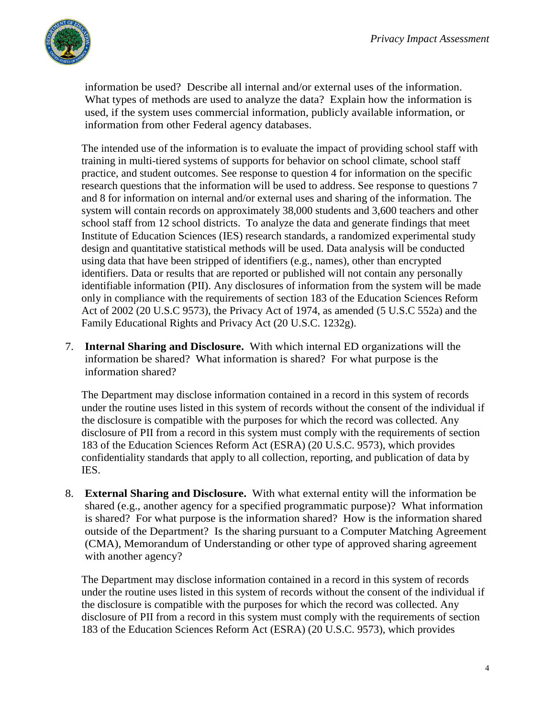

information be used? Describe all internal and/or external uses of the information. What types of methods are used to analyze the data? Explain how the information is used, if the system uses commercial information, publicly available information, or information from other Federal agency databases.

 The intended use of the information is to evaluate the impact of providing school staff with training in multi-tiered systems of supports for behavior on school climate, school staff practice, and student outcomes. See response to question 4 for information on the specific research questions that the information will be used to address. See response to questions 7 and 8 for information on internal and/or external uses and sharing of the information. The system will contain records on approximately 38,000 students and 3,600 teachers and other school staff from 12 school districts. To analyze the data and generate findings that meet Institute of Education Sciences (IES) research standards, a randomized experimental study design and quantitative statistical methods will be used. Data analysis will be conducted using data that have been stripped of identifiers (e.g., names), other than encrypted identifiers. Data or results that are reported or published will not contain any personally identifiable information (PII). Any disclosures of information from the system will be made only in compliance with the requirements of section 183 of the Education Sciences Reform Act of 2002 (20 U.S.C 9573), the Privacy Act of 1974, as amended (5 U.S.C 552a) and the Family Educational Rights and Privacy Act (20 U.S.C. 1232g).

7. **Internal Sharing and Disclosure.** With which internal ED organizations will the information be shared? What information is shared? For what purpose is the information shared?

The Department may disclose information contained in a record in this system of records under the routine uses listed in this system of records without the consent of the individual if the disclosure is compatible with the purposes for which the record was collected. Any disclosure of PII from a record in this system must comply with the requirements of section 183 of the Education Sciences Reform Act (ESRA) (20 U.S.C. 9573), which provides confidentiality standards that apply to all collection, reporting, and publication of data by IES.

8. **External Sharing and Disclosure.** With what external entity will the information be shared (e.g., another agency for a specified programmatic purpose)? What information is shared? For what purpose is the information shared? How is the information shared outside of the Department? Is the sharing pursuant to a Computer Matching Agreement (CMA), Memorandum of Understanding or other type of approved sharing agreement with another agency?

 The Department may disclose information contained in a record in this system of records under the routine uses listed in this system of records without the consent of the individual if the disclosure is compatible with the purposes for which the record was collected. Any disclosure of PII from a record in this system must comply with the requirements of section 183 of the Education Sciences Reform Act (ESRA) (20 U.S.C. 9573), which provides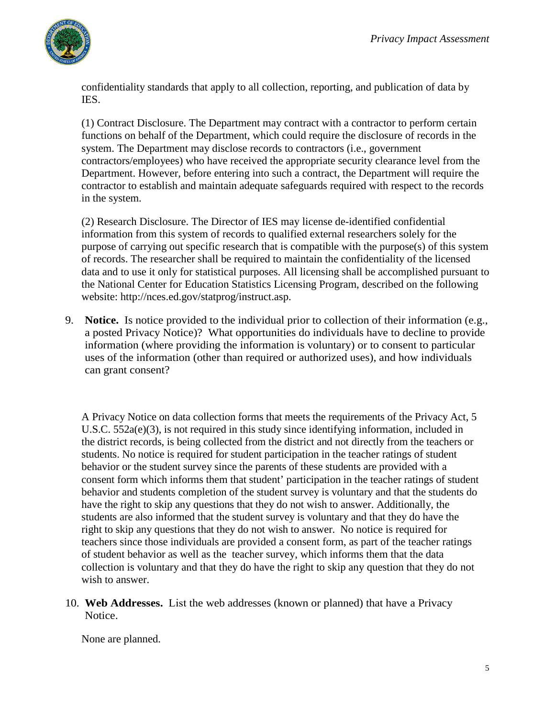

confidentiality standards that apply to all collection, reporting, and publication of data by IES.

(1) Contract Disclosure. The Department may contract with a contractor to perform certain functions on behalf of the Department, which could require the disclosure of records in the system. The Department may disclose records to contractors (i.e., government contractors/employees) who have received the appropriate security clearance level from the Department. However, before entering into such a contract, the Department will require the contractor to establish and maintain adequate safeguards required with respect to the records in the system.

(2) Research Disclosure. The Director of IES may license de-identified confidential information from this system of records to qualified external researchers solely for the purpose of carrying out specific research that is compatible with the purpose(s) of this system of records. The researcher shall be required to maintain the confidentiality of the licensed data and to use it only for statistical purposes. All licensing shall be accomplished pursuant to the National Center for Education Statistics Licensing Program, described on the following website: http://nces.ed.gov/statprog/instruct.asp.

9. **Notice.** Is notice provided to the individual prior to collection of their information (e.g., a posted Privacy Notice)? What opportunities do individuals have to decline to provide information (where providing the information is voluntary) or to consent to particular uses of the information (other than required or authorized uses), and how individuals can grant consent?

A Privacy Notice on data collection forms that meets the requirements of the Privacy Act, 5 U.S.C. 552a(e)(3), is not required in this study since identifying information, included in the district records, is being collected from the district and not directly from the teachers or students. No notice is required for student participation in the teacher ratings of student behavior or the student survey since the parents of these students are provided with a consent form which informs them that student' participation in the teacher ratings of student behavior and students completion of the student survey is voluntary and that the students do have the right to skip any questions that they do not wish to answer. Additionally, the students are also informed that the student survey is voluntary and that they do have the right to skip any questions that they do not wish to answer. No notice is required for teachers since those individuals are provided a consent form, as part of the teacher ratings of student behavior as well as the teacher survey, which informs them that the data collection is voluntary and that they do have the right to skip any question that they do not wish to answer.

10. **Web Addresses.** List the web addresses (known or planned) that have a Privacy Notice.

None are planned.